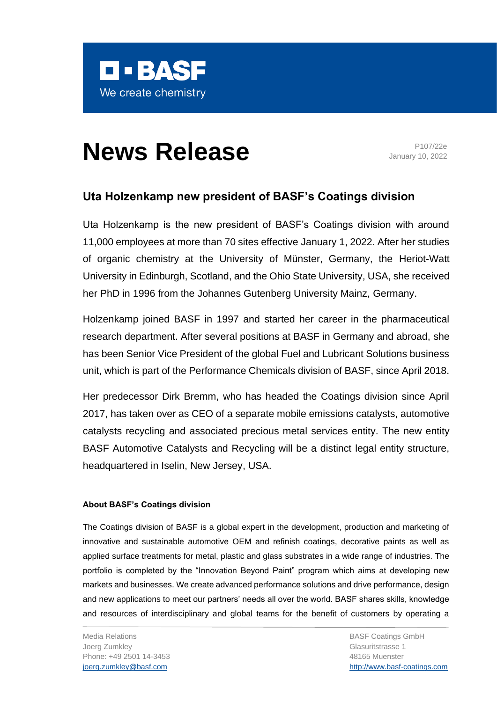

## **News Release** Program Program

January 10, 2022

## **Uta Holzenkamp new president of BASF's Coatings division**

Uta Holzenkamp is the new president of BASF's Coatings division with around 11,000 employees at more than 70 sites effective January 1, 2022. After her studies of organic chemistry at the University of Münster, Germany, the Heriot-Watt University in Edinburgh, Scotland, and the Ohio State University, USA, she received her PhD in 1996 from the Johannes Gutenberg University Mainz, Germany.

Holzenkamp joined BASF in 1997 and started her career in the pharmaceutical research department. After several positions at BASF in Germany and abroad, she has been Senior Vice President of the global Fuel and Lubricant Solutions business unit, which is part of the Performance Chemicals division of BASF, since April 2018.

Her predecessor Dirk Bremm, who has headed the Coatings division since April 2017, has taken over as CEO of a separate mobile emissions catalysts, automotive catalysts recycling and associated precious metal services entity. The new entity BASF Automotive Catalysts and Recycling will be a distinct legal entity structure, headquartered in Iselin, New Jersey, USA.

## **About BASF's Coatings division**

The Coatings division of BASF is a global expert in the development, production and marketing of innovative and sustainable automotive OEM and refinish coatings, decorative paints as well as applied surface treatments for metal, plastic and glass substrates in a wide range of industries. The portfolio is completed by the "Innovation Beyond Paint" program which aims at developing new markets and businesses. We create advanced performance solutions and drive performance, design and new applications to meet our partners' needs all over the world. BASF shares skills, knowledge and resources of interdisciplinary and global teams for the benefit of customers by operating a